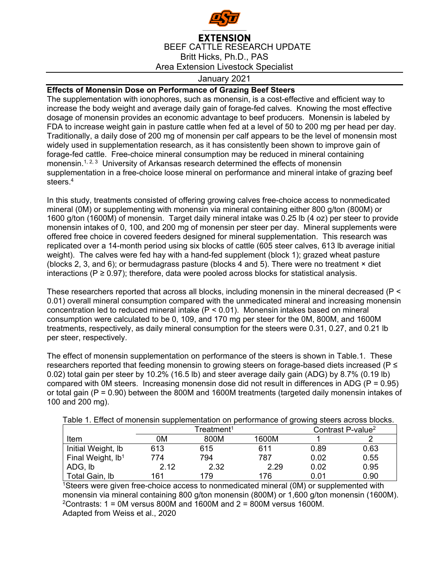

## **EXTENSION** BEEF CATTLE RESEARCH UPDATE Britt Hicks, Ph.D., PAS Area Extension Livestock Specialist

## January 2021

## **Effects of Monensin Dose on Performance of Grazing Beef Steers**

The supplementation with ionophores, such as monensin, is a cost-effective and efficient way to increase the body weight and average daily gain of forage-fed calves. Knowing the most effective dosage of monensin provides an economic advantage to beef producers. Monensin is labeled by FDA to increase weight gain in pasture cattle when fed at a level of 50 to 200 mg per head per day. Traditionally, a daily dose of 200 mg of monensin per calf appears to be the level of monensin most widely used in supplementation research, as it has consistently been shown to improve gain of forage-fed cattle. Free-choice mineral consumption may be reduced in mineral containing monensin.<sup>1, 2, 3</sup> University of Arkansas research determined the effects of monensin supplementation in a free-choice loose mineral on performance and mineral intake of grazing beef steers.4

In this study, treatments consisted of offering growing calves free-choice access to nonmedicated mineral (0M) or supplementing with monensin via mineral containing either 800 g/ton (800M) or 1600 g/ton (1600M) of monensin. Target daily mineral intake was 0.25 lb (4 oz) per steer to provide monensin intakes of 0, 100, and 200 mg of monensin per steer per day. Mineral supplements were offered free choice in covered feeders designed for mineral supplementation. This research was replicated over a 14-month period using six blocks of cattle (605 steer calves, 613 lb average initial weight). The calves were fed hay with a hand-fed supplement (block 1); grazed wheat pasture (blocks 2, 3, and 6); or bermudagrass pasture (blocks 4 and 5). There were no treatment  $\times$  diet interactions ( $P \ge 0.97$ ); therefore, data were pooled across blocks for statistical analysis.

These researchers reported that across all blocks, including monensin in the mineral decreased (P < 0.01) overall mineral consumption compared with the unmedicated mineral and increasing monensin concentration led to reduced mineral intake ( $P < 0.01$ ). Monensin intakes based on mineral consumption were calculated to be 0, 109, and 170 mg per steer for the 0M, 800M, and 1600M treatments, respectively, as daily mineral consumption for the steers were 0.31, 0.27, and 0.21 lb per steer, respectively.

The effect of monensin supplementation on performance of the steers is shown in Table.1. These researchers reported that feeding monensin to growing steers on forage-based diets increased (P ≤ 0.02) total gain per steer by 10.2% (16.5 lb) and steer average daily gain (ADG) by 8.7% (0.19 lb) compared with 0M steers. Increasing monensin dose did not result in differences in ADG (P = 0.95) or total gain (P = 0.90) between the 800M and 1600M treatments (targeted daily monensin intakes of 100 and 200 mg).

|                               | Treatment <sup>1</sup> |      |       | Contrast P-value <sup>2</sup> |      |
|-------------------------------|------------------------|------|-------|-------------------------------|------|
| Item                          | 0М                     | 800M | 1600M |                               |      |
| Initial Weight, Ib            | 613                    | 615  | 611   | 0.89                          | 0.63 |
| Final Weight, Ib <sup>1</sup> | 774                    | 794  | 787   | 0.02                          | 0.55 |
| ADG, lb                       | 2.12                   | 2.32 | 2.29  | 0.02                          | 0.95 |
| Total Gain, Ib                | 161                    | 179  | 176   | 0.01                          | 0.90 |

Table 1. Effect of monensin supplementation on performance of growing steers across blocks.

1Steers were given free-choice access to nonmedicated mineral (0M) or supplemented with monensin via mineral containing 800 g/ton monensin (800M) or 1,600 g/ton monensin (1600M). <sup>2</sup>Contrasts:  $1 = 0$ M versus 800M and 1600M and  $2 = 800$ M versus 1600M. Adapted from Weiss et al., 2020